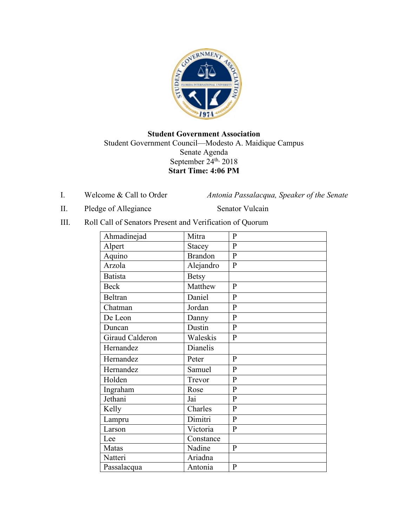

## **Student Government Association** Student Government Council—Modesto A. Maidique Campus Senate Agenda September  $24^{\text{th}}$ , 2018 **Start Time: 4:06 PM**

I. Welcome & Call to Order *Antonia Passalacqua, Speaker of the Senate* 

II. Pledge of Allegiance Senator Vulcain

III. Roll Call of Senators Present and Verification of Quorum

| Ahmadinejad     | Mitra          | $\mathbf{P}$   |
|-----------------|----------------|----------------|
| Alpert          | <b>Stacey</b>  | $\mathbf{P}$   |
| Aquino          | <b>Brandon</b> | $\overline{P}$ |
| Arzola          | Alejandro      | $\mathbf{P}$   |
| <b>Batista</b>  | <b>Betsy</b>   |                |
| <b>Beck</b>     | Matthew        | $\mathbf{P}$   |
| <b>Beltran</b>  | Daniel         | $\mathbf{P}$   |
| Chatman         | Jordan         | $\overline{P}$ |
| De Leon         | Danny          | $\overline{P}$ |
| Duncan          | Dustin         | $\overline{P}$ |
| Giraud Calderon | Waleskis       | $\mathbf{P}$   |
| Hernandez       | Dianelis       |                |
| Hernandez       | Peter          | $\mathbf{P}$   |
| Hernandez       | Samuel         | $\mathbf{P}$   |
| Holden          | Trevor         | $\mathbf{P}$   |
| Ingraham        | Rose           | $\mathbf{P}$   |
| Jethani         | Jai            | $\mathbf{P}$   |
| Kelly           | Charles        | $\mathbf{P}$   |
| Lampru          | Dimitri        | $\overline{P}$ |
| Larson          | Victoria       | $\mathbf{P}$   |
| Lee             | Constance      |                |
| Matas           | Nadine         | $\, {\bf P}$   |
| Natteri         | Ariadna        |                |
| Passalacqua     | Antonia        | $\mathbf{P}$   |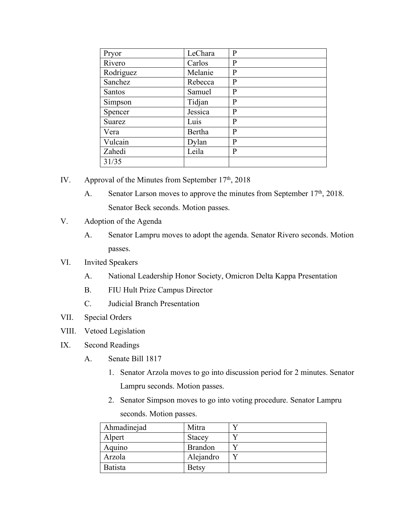| Pryor         | LeChara | P |
|---------------|---------|---|
| Rivero        | Carlos  | P |
| Rodriguez     | Melanie | P |
| Sanchez       | Rebecca | P |
| <b>Santos</b> | Samuel  | P |
| Simpson       | Tidjan  | P |
| Spencer       | Jessica | P |
| Suarez        | Luis    | P |
| Vera          | Bertha  | P |
| Vulcain       | Dylan   | P |
| Zahedi        | Leila   | P |
| 31/35         |         |   |

- IV. Approval of the Minutes from September  $17<sup>th</sup>$ , 2018
	- A. Senator Larson moves to approve the minutes from September 17<sup>th</sup>, 2018. Senator Beck seconds. Motion passes.
- V. Adoption of the Agenda
	- A. Senator Lampru moves to adopt the agenda. Senator Rivero seconds. Motion passes.
- VI. Invited Speakers
	- A. National Leadership Honor Society, Omicron Delta Kappa Presentation
	- B. FIU Hult Prize Campus Director
	- C. Judicial Branch Presentation
- VII. Special Orders
- VIII. Vetoed Legislation
- IX. Second Readings
	- A. Senate Bill 1817
		- 1. Senator Arzola moves to go into discussion period for 2 minutes. Senator Lampru seconds. Motion passes.
		- 2. Senator Simpson moves to go into voting procedure. Senator Lampru seconds. Motion passes.

| Ahmadinejad    | Mitra          |  |
|----------------|----------------|--|
| Alpert         | <b>Stacey</b>  |  |
| Aquino         | <b>Brandon</b> |  |
| Arzola         | Alejandro      |  |
| <b>Batista</b> | <b>Betsy</b>   |  |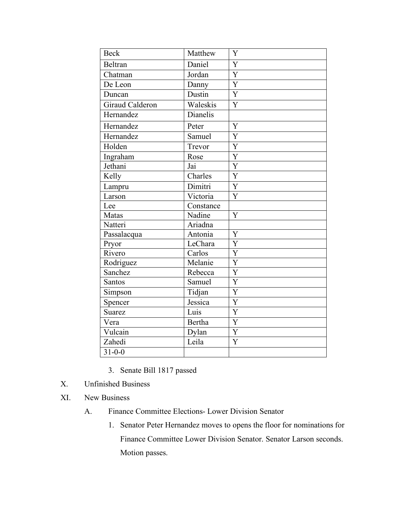| <b>Beck</b>     | Matthew                    | Y                         |
|-----------------|----------------------------|---------------------------|
| Beltran         | Daniel                     | $\overline{Y}$            |
| Chatman         | Jordan                     | $\overline{\overline{Y}}$ |
| De Leon         | Danny                      | $\overline{Y}$            |
| Duncan          | Dustin                     | $\overline{Y}$            |
| Giraud Calderon | Waleskis                   | $\overline{Y}$            |
| Hernandez       | Dianelis                   |                           |
| Hernandez       | Peter                      | Y                         |
| Hernandez       | $\overline{\text{Samuel}}$ | Y                         |
| Holden          | Trevor                     | Y                         |
| Ingraham        | Rose                       | Y                         |
| Jethani         | Jai                        | Y                         |
| Kelly           | Charles                    | $\overline{\text{Y}}$     |
| Lampru          | Dimitri                    | $\overline{Y}$            |
| Larson          | $\overline{V}$ ictoria     | Y                         |
| Lee             | Constance                  |                           |
| Matas           | Nadine                     | Y                         |
| Natteri         | Ariadna                    |                           |
| Passalacqua     | Antonia                    | Y                         |
| Pryor           | LeChara                    | Y                         |
| Rivero          | Carlos                     | $\overline{Y}$            |
| Rodriguez       | Melanie                    | $\overline{Y}$            |
| Sanchez         | Rebecca                    | Y                         |
| Santos          | Samuel                     | $\overline{\text{Y}}$     |
| Simpson         | Tidjan                     | $\overline{\text{Y}}$     |
| Spencer         | Jessica                    | Y                         |
| <b>Suarez</b>   | Luis                       | $\overline{Y}$            |
| Vera            | <b>Bertha</b>              | $\overline{Y}$            |
| Vulcain         | Dylan                      | $\overline{Y}$            |
| Zahedi          | Leila                      | $\overline{Y}$            |
| $31 - 0 - 0$    |                            |                           |

- 3. Senate Bill 1817 passed
- X. Unfinished Business
- XI. New Business
	- A. Finance Committee Elections- Lower Division Senator
		- 1. Senator Peter Hernandez moves to opens the floor for nominations for Finance Committee Lower Division Senator. Senator Larson seconds. Motion passes.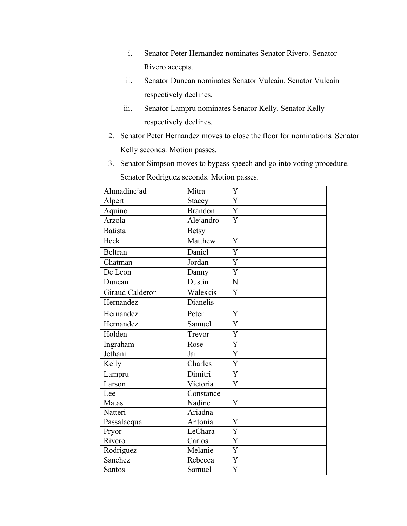- i. Senator Peter Hernandez nominates Senator Rivero. Senator Rivero accepts.
- ii. Senator Duncan nominates Senator Vulcain. Senator Vulcain respectively declines.
- iii. Senator Lampru nominates Senator Kelly. Senator Kelly respectively declines.
- 2. Senator Peter Hernandez moves to close the floor for nominations. Senator Kelly seconds. Motion passes.
- 3. Senator Simpson moves to bypass speech and go into voting procedure.

Senator Rodriguez seconds. Motion passes.

| Ahmadinejad     | Mitra          | Y              |
|-----------------|----------------|----------------|
| Alpert          | Stacey         | $\overline{Y}$ |
| Aquino          | <b>Brandon</b> | $\overline{Y}$ |
| Arzola          | Alejandro      | $\overline{Y}$ |
| <b>Batista</b>  | <b>Betsy</b>   |                |
| <b>Beck</b>     | Matthew        | Y              |
| <b>Beltran</b>  | Daniel         | Y              |
| Chatman         | Jordan         | Y              |
| De Leon         | Danny          | Y              |
| Duncan          | Dustin         | N              |
| Giraud Calderon | Waleskis       | Y              |
| Hernandez       | Dianelis       |                |
| Hernandez       | Peter          | Y              |
| Hernandez       | Samuel         | Y              |
| Holden          | Trevor         | $\overline{Y}$ |
| Ingraham        | Rose           | $\overline{Y}$ |
| Jethani         | Jai            | Y              |
| Kelly           | Charles        | $\overline{Y}$ |
| Lampru          | Dimitri        | $\overline{Y}$ |
| Larson          | Victoria       | Y              |
| Lee             | Constance      |                |
| Matas           | Nadine         | Y              |
| Natteri         | Ariadna        |                |
| Passalacqua     | Antonia        | Y              |
| Pryor           | LeChara        | Y              |
| Rivero          | Carlos         | $\overline{Y}$ |
| Rodriguez       | Melanie        | Y              |
| Sanchez         | Rebecca        | Y              |
| Santos          | Samuel         | Y              |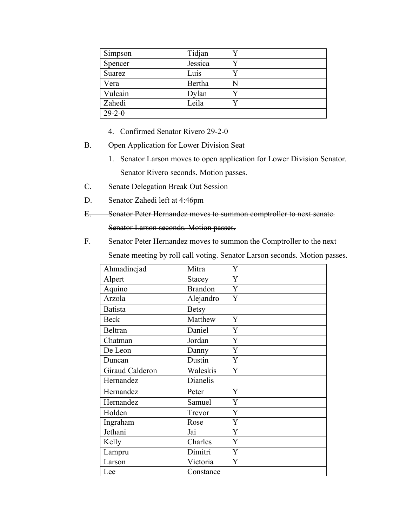| Simpson      | Tidjan  |    |
|--------------|---------|----|
| Spencer      | Jessica |    |
| Suarez       | Luis    |    |
| Vera         | Bertha  | N  |
| Vulcain      | Dylan   |    |
| Zahedi       | Leila   | V) |
| $29 - 2 - 0$ |         |    |

- 4. Confirmed Senator Rivero 29-2-0
- B. Open Application for Lower Division Seat
	- 1. Senator Larson moves to open application for Lower Division Senator. Senator Rivero seconds. Motion passes.
- C. Senate Delegation Break Out Session
- D. Senator Zahedi left at 4:46pm
- E. Senator Peter Hernandez moves to summon comptroller to next senate.

```
Senator Larson seconds. Motion passes.
```
F. Senator Peter Hernandez moves to summon the Comptroller to the next

Senate meeting by roll call voting. Senator Larson seconds. Motion passes.

| Ahmadinejad     | Mitra          | Y |
|-----------------|----------------|---|
| Alpert          | Stacey         | Y |
| Aquino          | <b>Brandon</b> | Y |
| Arzola          | Alejandro      | Y |
| <b>Batista</b>  | <b>Betsy</b>   |   |
| <b>Beck</b>     | Matthew        | Y |
| Beltran         | Daniel         | Y |
| Chatman         | Jordan         | Y |
| De Leon         | Danny          | Y |
| Duncan          | Dustin         | Y |
| Giraud Calderon | Waleskis       | Y |
| Hernandez       | Dianelis       |   |
| Hernandez       | Peter          | Y |
| Hernandez       | Samuel         | Y |
| Holden          | Trevor         | Y |
| Ingraham        | Rose           | Y |
| Jethani         | Jai            | Y |
| Kelly           | Charles        | Y |
| Lampru          | Dimitri        | Y |
| Larson          | Victoria       | Y |
| Lee             | Constance      |   |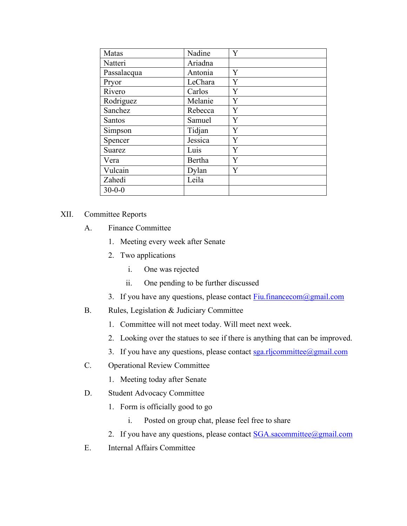| Matas         | Nadine  | Y |
|---------------|---------|---|
| Natteri       | Ariadna |   |
| Passalacqua   | Antonia | Y |
| Pryor         | LeChara | Y |
| Rivero        | Carlos  | Y |
| Rodriguez     | Melanie | Y |
| Sanchez       | Rebecca | Y |
| Santos        | Samuel  | Y |
| Simpson       | Tidjan  | Y |
| Spencer       | Jessica | Y |
| <b>Suarez</b> | Luis    | Y |
| Vera          | Bertha  | Y |
| Vulcain       | Dylan   | Y |
| Zahedi        | Leila   |   |
| $30 - 0 - 0$  |         |   |

## XII. Committee Reports

- A. Finance Committee
	- 1. Meeting every week after Senate
	- 2. Two applications
		- i. One was rejected
		- ii. One pending to be further discussed
	- 3. If you have any questions, please contact  $Fiu financecom@gmail.com$ </u>
- B. Rules, Legislation & Judiciary Committee
	- 1. Committee will not meet today. Will meet next week.
	- 2. Looking over the statues to see if there is anything that can be improved.
	- 3. If you have any questions, please contact sga.rljcommittee@gmail.com
- C. Operational Review Committee
	- 1. Meeting today after Senate
- D. Student Advocacy Committee
	- 1. Form is officially good to go
		- i. Posted on group chat, please feel free to share
	- 2. If you have any questions, please contact **SGA** sacommittee@gmail.com
- E. Internal Affairs Committee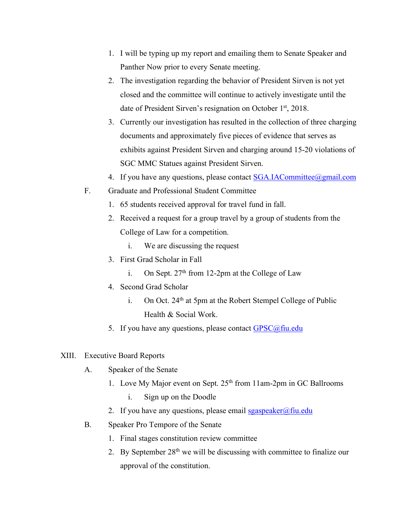- 1. I will be typing up my report and emailing them to Senate Speaker and Panther Now prior to every Senate meeting.
- 2. The investigation regarding the behavior of President Sirven is not yet closed and the committee will continue to actively investigate until the date of President Sirven's resignation on October 1st, 2018.
- 3. Currently our investigation has resulted in the collection of three charging documents and approximately five pieces of evidence that serves as exhibits against President Sirven and charging around 15-20 violations of SGC MMC Statues against President Sirven.
- 4. If you have any questions, please contact **SGA.IACommittee**@gmail.com
- F. Graduate and Professional Student Committee
	- 1. 65 students received approval for travel fund in fall.
	- 2. Received a request for a group travel by a group of students from the College of Law for a competition.
		- i. We are discussing the request
	- 3. First Grad Scholar in Fall
		- i. On Sept.  $27<sup>th</sup>$  from 12-2pm at the College of Law
	- 4. Second Grad Scholar
		- i. On Oct. 24<sup>th</sup> at 5pm at the Robert Stempel College of Public Health & Social Work.
	- 5. If you have any questions, please contact  $GPSC@$ fiu.edu
- XIII. Executive Board Reports
	- A. Speaker of the Senate
		- 1. Love My Major event on Sept. 25<sup>th</sup> from 11am-2pm in GC Ballrooms
			- i. Sign up on the Doodle
		- 2. If you have any questions, please email  $sgaspeaker@final$
	- B. Speaker Pro Tempore of the Senate
		- 1. Final stages constitution review committee
		- 2. By September 28<sup>th</sup> we will be discussing with committee to finalize our approval of the constitution.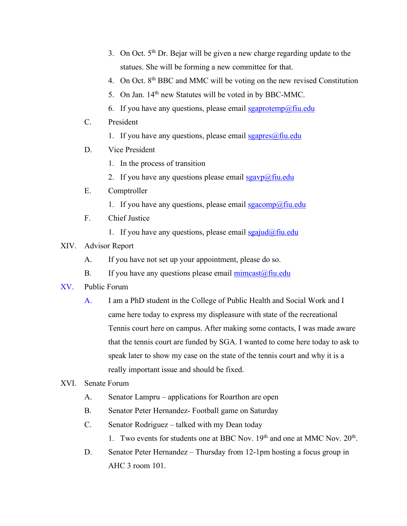- 3. On Oct.  $5<sup>th</sup>$  Dr. Bejar will be given a new charge regarding update to the statues. She will be forming a new committee for that.
- 4. On Oct. 8th BBC and MMC will be voting on the new revised Constitution
- 5. On Jan. 14<sup>th</sup> new Statutes will be voted in by BBC-MMC.
- 6. If you have any questions, please email  $sgaprotemp@final$
- C. President
	- 1. If you have any questions, please email  $sgapres(\hat{\alpha})$  fiu.edu
- D. Vice President
	- 1. In the process of transition
	- 2. If you have any questions please email  $sgavp(\omega)$  fiu.edu
- E. Comptroller
	- 1. If you have any questions, please email  $sgacomp(\omega)$ fiu.edu
- F. Chief Justice
	- 1. If you have any questions, please email  $sgajud(\omega f\text{in.edu})$
- XIV. Advisor Report
	- A. If you have not set up your appointment, please do so.
	- B. If you have any questions please email  $\frac{\text{mincast}(\hat{a})\text{fiu.edu}}{\text{mincast}(\hat{a})}$
- XV. Public Forum
	- A. I am a PhD student in the College of Public Health and Social Work and I came here today to express my displeasure with state of the recreational Tennis court here on campus. After making some contacts, I was made aware that the tennis court are funded by SGA. I wanted to come here today to ask to speak later to show my case on the state of the tennis court and why it is a really important issue and should be fixed.
- XVI. Senate Forum
	- A. Senator Lampru applications for Roarthon are open
	- B. Senator Peter Hernandez- Football game on Saturday
	- C. Senator Rodriguez talked with my Dean today
		- 1. Two events for students one at BBC Nov. 19<sup>th</sup> and one at MMC Nov. 20<sup>th</sup>.
	- D. Senator Peter Hernandez Thursday from 12-1pm hosting a focus group in AHC 3 room 101.